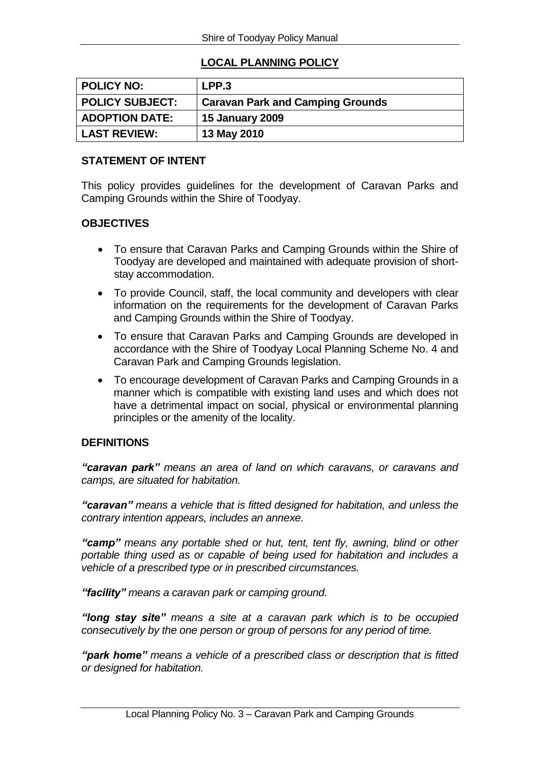### **LOCAL PLANNING POLICY**

| <b>POLICY NO:</b>      | LPP.3                                   |
|------------------------|-----------------------------------------|
| <b>POLICY SUBJECT:</b> | <b>Caravan Park and Camping Grounds</b> |
| <b>ADOPTION DATE:</b>  | <b>15 January 2009</b>                  |
| <b>LAST REVIEW:</b>    | 13 May 2010                             |

#### **STATEMENT OF INTENT**

This policy provides guidelines for the development of Caravan Parks and Camping Grounds within the Shire of Toodyay.

### **OBJECTIVES**

- To ensure that Caravan Parks and Camping Grounds within the Shire of Toodyay are developed and maintained with adequate provision of shortstay accommodation.
- To provide Council, staff, the local community and developers with clear information on the requirements for the development of Caravan Parks and Camping Grounds within the Shire of Toodyay.
- To ensure that Caravan Parks and Camping Grounds are developed in accordance with the Shire of Toodyay Local Planning Scheme No. 4 and Caravan Park and Camping Grounds legislation.
- To encourage development of Caravan Parks and Camping Grounds in a manner which is compatible with existing land uses and which does not have a detrimental impact on social, physical or environmental planning principles or the amenity of the locality.

### **DEFINITIONS**

*"caravan park" means an area of land on which caravans, or caravans and camps, are situated for habitation.*

*"caravan" means a vehicle that is fitted designed for habitation, and unless the contrary intention appears, includes an annexe.*

*"camp" means any portable shed or hut, tent, tent fly, awning, blind or other portable thing used as or capable of being used for habitation and includes a vehicle of a prescribed type or in prescribed circumstances.*

*"facility" means a caravan park or camping ground.*

*"long stay site" means a site at a caravan park which is to be occupied consecutively by the one person or group of persons for any period of time.*

*"park home" means a vehicle of a prescribed class or description that is fitted or designed for habitation.*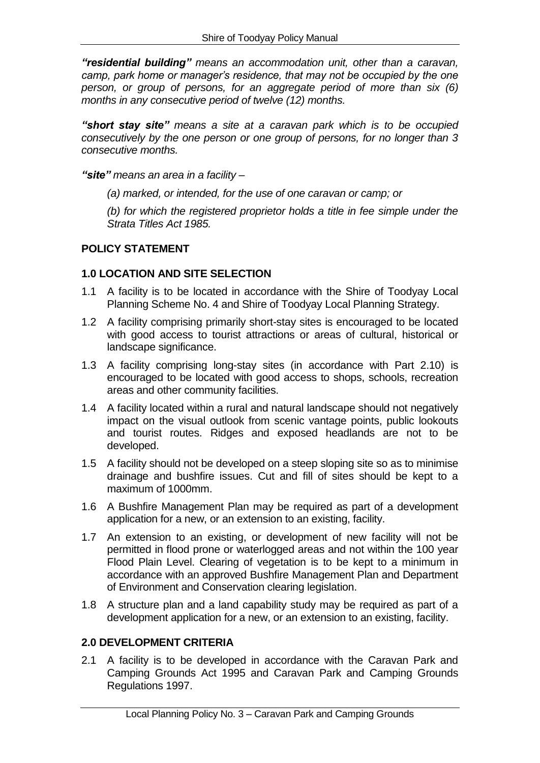*"residential building" means an accommodation unit, other than a caravan, camp, park home or manager's residence, that may not be occupied by the one person, or group of persons, for an aggregate period of more than six (6) months in any consecutive period of twelve (12) months.*

*"short stay site" means a site at a caravan park which is to be occupied consecutively by the one person or one group of persons, for no longer than 3 consecutive months.*

*"site" means an area in a facility –*

*(a) marked, or intended, for the use of one caravan or camp; or*

*(b) for which the registered proprietor holds a title in fee simple under the Strata Titles Act 1985.*

# **POLICY STATEMENT**

# **1.0 LOCATION AND SITE SELECTION**

- 1.1 A facility is to be located in accordance with the Shire of Toodyay Local Planning Scheme No. 4 and Shire of Toodyay Local Planning Strategy.
- 1.2 A facility comprising primarily short-stay sites is encouraged to be located with good access to tourist attractions or areas of cultural, historical or landscape significance.
- 1.3 A facility comprising long-stay sites (in accordance with Part 2.10) is encouraged to be located with good access to shops, schools, recreation areas and other community facilities.
- 1.4 A facility located within a rural and natural landscape should not negatively impact on the visual outlook from scenic vantage points, public lookouts and tourist routes. Ridges and exposed headlands are not to be developed.
- 1.5 A facility should not be developed on a steep sloping site so as to minimise drainage and bushfire issues. Cut and fill of sites should be kept to a maximum of 1000mm.
- 1.6 A Bushfire Management Plan may be required as part of a development application for a new, or an extension to an existing, facility.
- 1.7 An extension to an existing, or development of new facility will not be permitted in flood prone or waterlogged areas and not within the 100 year Flood Plain Level. Clearing of vegetation is to be kept to a minimum in accordance with an approved Bushfire Management Plan and Department of Environment and Conservation clearing legislation.
- 1.8 A structure plan and a land capability study may be required as part of a development application for a new, or an extension to an existing, facility.

# **2.0 DEVELOPMENT CRITERIA**

2.1 A facility is to be developed in accordance with the Caravan Park and Camping Grounds Act 1995 and Caravan Park and Camping Grounds Regulations 1997.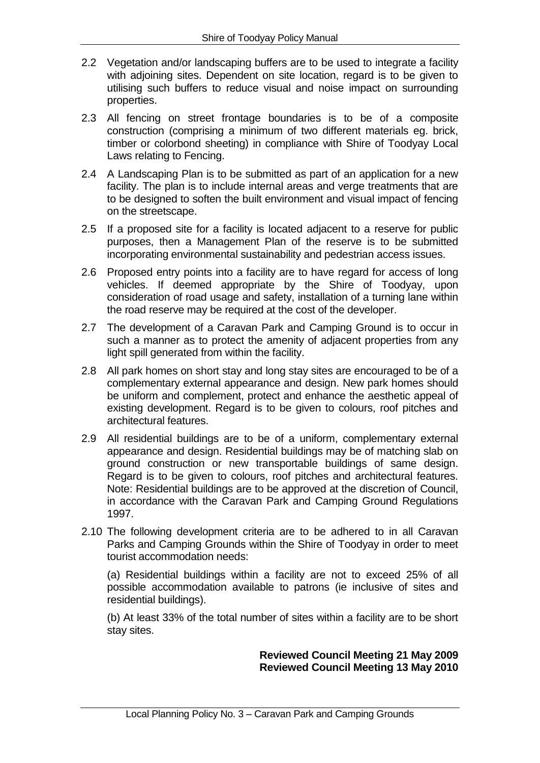- 2.2 Vegetation and/or landscaping buffers are to be used to integrate a facility with adjoining sites. Dependent on site location, regard is to be given to utilising such buffers to reduce visual and noise impact on surrounding properties.
- 2.3 All fencing on street frontage boundaries is to be of a composite construction (comprising a minimum of two different materials eg. brick, timber or colorbond sheeting) in compliance with Shire of Toodyay Local Laws relating to Fencing.
- 2.4 A Landscaping Plan is to be submitted as part of an application for a new facility. The plan is to include internal areas and verge treatments that are to be designed to soften the built environment and visual impact of fencing on the streetscape.
- 2.5 If a proposed site for a facility is located adjacent to a reserve for public purposes, then a Management Plan of the reserve is to be submitted incorporating environmental sustainability and pedestrian access issues.
- 2.6 Proposed entry points into a facility are to have regard for access of long vehicles. If deemed appropriate by the Shire of Toodyay, upon consideration of road usage and safety, installation of a turning lane within the road reserve may be required at the cost of the developer.
- 2.7 The development of a Caravan Park and Camping Ground is to occur in such a manner as to protect the amenity of adjacent properties from any light spill generated from within the facility.
- 2.8 All park homes on short stay and long stay sites are encouraged to be of a complementary external appearance and design. New park homes should be uniform and complement, protect and enhance the aesthetic appeal of existing development. Regard is to be given to colours, roof pitches and architectural features.
- 2.9 All residential buildings are to be of a uniform, complementary external appearance and design. Residential buildings may be of matching slab on ground construction or new transportable buildings of same design. Regard is to be given to colours, roof pitches and architectural features. Note: Residential buildings are to be approved at the discretion of Council, in accordance with the Caravan Park and Camping Ground Regulations 1997.
- 2.10 The following development criteria are to be adhered to in all Caravan Parks and Camping Grounds within the Shire of Toodyay in order to meet tourist accommodation needs:

(a) Residential buildings within a facility are not to exceed 25% of all possible accommodation available to patrons (ie inclusive of sites and residential buildings).

(b) At least 33% of the total number of sites within a facility are to be short stay sites.

> **Reviewed Council Meeting 21 May 2009 Reviewed Council Meeting 13 May 2010**